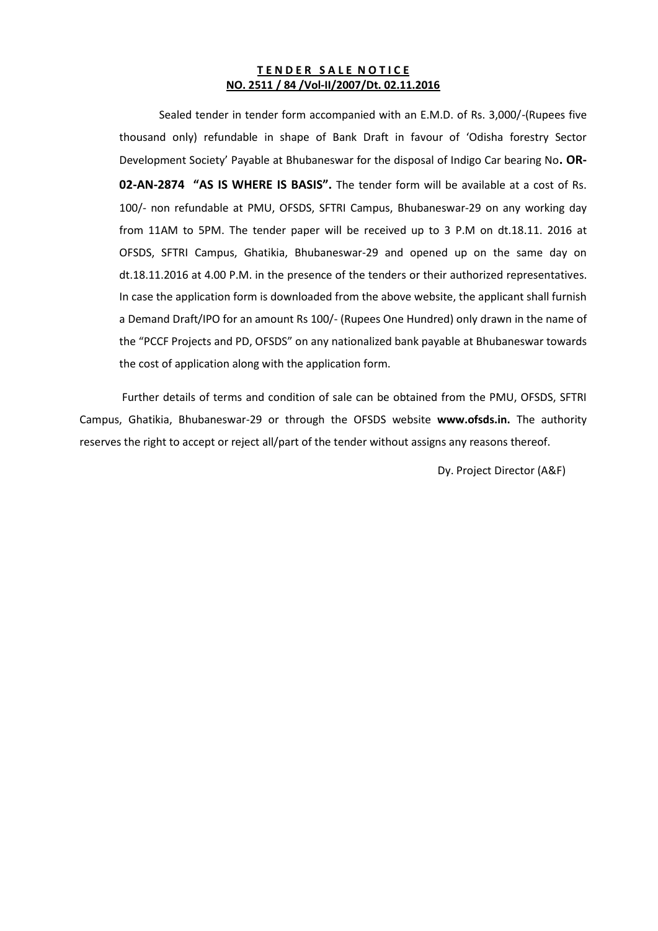#### **TENDER SALE NOTICE NO. 2511 / 84 /Vol-II/2007/Dt. 02.11.2016**

Sealed tender in tender form accompanied with an E.M.D. of Rs. 3,000/-(Rupees five thousand only) refundable in shape of Bank Draft in favour of 'Odisha forestry Sector Development Society' Payable at Bhubaneswar for the disposal of Indigo Car bearing No**. OR-02-AN-2874 "AS IS WHERE IS BASIS".** The tender form will be available at a cost of Rs. 100/- non refundable at PMU, OFSDS, SFTRI Campus, Bhubaneswar-29 on any working day from 11AM to 5PM. The tender paper will be received up to 3 P.M on dt.18.11. 2016 at OFSDS, SFTRI Campus, Ghatikia, Bhubaneswar-29 and opened up on the same day on dt.18.11.2016 at 4.00 P.M. in the presence of the tenders or their authorized representatives. In case the application form is downloaded from the above website, the applicant shall furnish a Demand Draft/IPO for an amount Rs 100/- (Rupees One Hundred) only drawn in the name of the "PCCF Projects and PD, OFSDS" on any nationalized bank payable at Bhubaneswar towards the cost of application along with the application form.

Further details of terms and condition of sale can be obtained from the PMU, OFSDS, SFTRI Campus, Ghatikia, Bhubaneswar-29 or through the OFSDS website **www.ofsds.in.** The authority reserves the right to accept or reject all/part of the tender without assigns any reasons thereof.

Dy. Project Director (A&F)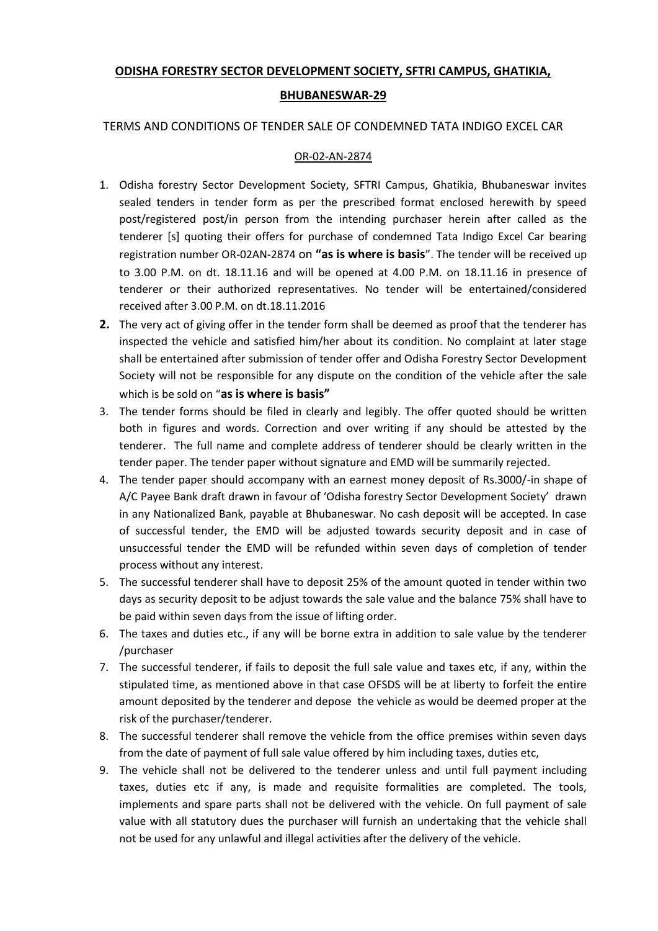# **ODISHA FORESTRY SECTOR DEVELOPMENT SOCIETY, SFTRI CAMPUS, GHATIKIA,**

### **BHUBANESWAR-29**

### TERMS AND CONDITIONS OF TENDER SALE OF CONDEMNED TATA INDIGO EXCEL CAR

#### OR-02-AN-2874

- 1. Odisha forestry Sector Development Society, SFTRI Campus, Ghatikia, Bhubaneswar invites sealed tenders in tender form as per the prescribed format enclosed herewith by speed post/registered post/in person from the intending purchaser herein after called as the tenderer [s] quoting their offers for purchase of condemned Tata Indigo Excel Car bearing registration number OR-02AN-2874 on **"as is where is basis**". The tender will be received up to 3.00 P.M. on dt. 18.11.16 and will be opened at 4.00 P.M. on 18.11.16 in presence of tenderer or their authorized representatives. No tender will be entertained/considered received after 3.00 P.M. on dt.18.11.2016
- **2.** The very act of giving offer in the tender form shall be deemed as proof that the tenderer has inspected the vehicle and satisfied him/her about its condition. No complaint at later stage shall be entertained after submission of tender offer and Odisha Forestry Sector Development Society will not be responsible for any dispute on the condition of the vehicle after the sale which is be sold on "**as is where is basis"**
- 3. The tender forms should be filed in clearly and legibly. The offer quoted should be written both in figures and words. Correction and over writing if any should be attested by the tenderer. The full name and complete address of tenderer should be clearly written in the tender paper. The tender paper without signature and EMD will be summarily rejected.
- 4. The tender paper should accompany with an earnest money deposit of Rs.3000/-in shape of A/C Payee Bank draft drawn in favour of 'Odisha forestry Sector Development Society' drawn in any Nationalized Bank, payable at Bhubaneswar. No cash deposit will be accepted. In case of successful tender, the EMD will be adjusted towards security deposit and in case of unsuccessful tender the EMD will be refunded within seven days of completion of tender process without any interest.
- 5. The successful tenderer shall have to deposit 25% of the amount quoted in tender within two days as security deposit to be adjust towards the sale value and the balance 75% shall have to be paid within seven days from the issue of lifting order.
- 6. The taxes and duties etc., if any will be borne extra in addition to sale value by the tenderer /purchaser
- 7. The successful tenderer, if fails to deposit the full sale value and taxes etc, if any, within the stipulated time, as mentioned above in that case OFSDS will be at liberty to forfeit the entire amount deposited by the tenderer and depose the vehicle as would be deemed proper at the risk of the purchaser/tenderer.
- 8. The successful tenderer shall remove the vehicle from the office premises within seven days from the date of payment of full sale value offered by him including taxes, duties etc,
- 9. The vehicle shall not be delivered to the tenderer unless and until full payment including taxes, duties etc if any, is made and requisite formalities are completed. The tools, implements and spare parts shall not be delivered with the vehicle. On full payment of sale value with all statutory dues the purchaser will furnish an undertaking that the vehicle shall not be used for any unlawful and illegal activities after the delivery of the vehicle.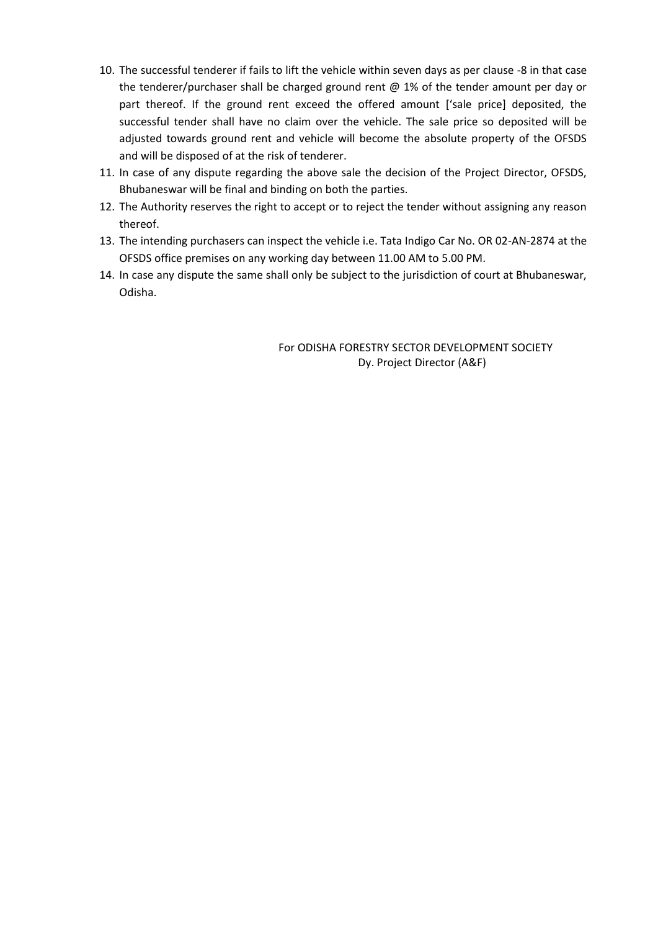- 10. The successful tenderer if fails to lift the vehicle within seven days as per clause -8 in that case the tenderer/purchaser shall be charged ground rent @ 1% of the tender amount per day or part thereof. If the ground rent exceed the offered amount ['sale price] deposited, the successful tender shall have no claim over the vehicle. The sale price so deposited will be adjusted towards ground rent and vehicle will become the absolute property of the OFSDS and will be disposed of at the risk of tenderer.
- 11. In case of any dispute regarding the above sale the decision of the Project Director, OFSDS, Bhubaneswar will be final and binding on both the parties.
- 12. The Authority reserves the right to accept or to reject the tender without assigning any reason thereof.
- 13. The intending purchasers can inspect the vehicle i.e. Tata Indigo Car No. OR 02-AN-2874 at the OFSDS office premises on any working day between 11.00 AM to 5.00 PM.
- 14. In case any dispute the same shall only be subject to the jurisdiction of court at Bhubaneswar, Odisha.

For ODISHA FORESTRY SECTOR DEVELOPMENT SOCIETY Dy. Project Director (A&F)